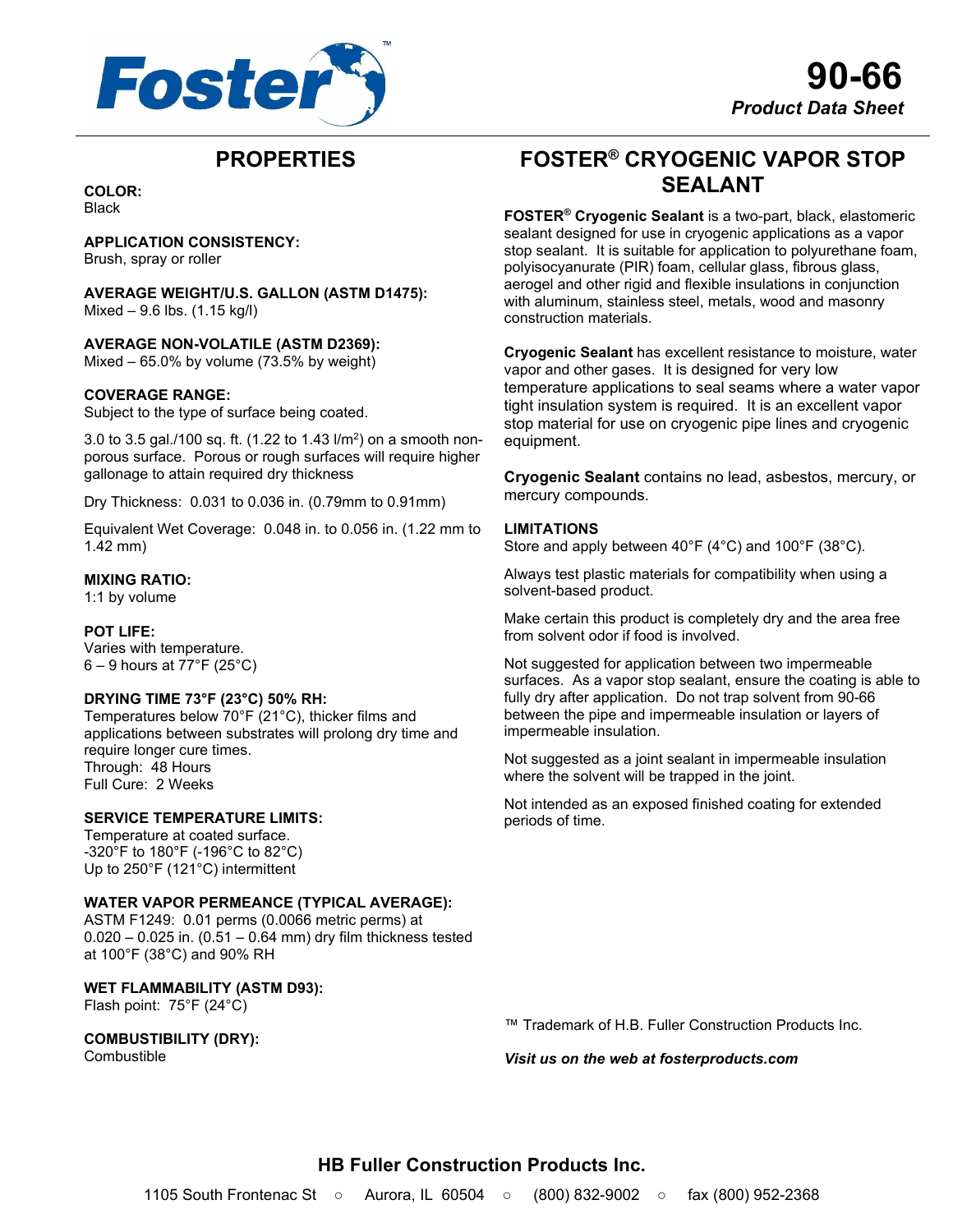

## **PROPERTIES**

**COLOR:** Black

**APPLICATION CONSISTENCY:**

Brush, spray or roller

**AVERAGE WEIGHT/U.S. GALLON (ASTM D1475):**  $Mixed - 9.6$  lbs.  $(1.15 \text{ kg/l})$ 

**AVERAGE NON-VOLATILE (ASTM D2369):**

Mixed  $-65.0\%$  by volume (73.5% by weight)

## **COVERAGE RANGE:**

Subject to the type of surface being coated.

3.0 to 3.5 gal./100 sq. ft. (1.22 to 1.43 l/m²) on a smooth nonporous surface. Porous or rough surfaces will require higher gallonage to attain required dry thickness

Dry Thickness: 0.031 to 0.036 in. (0.79mm to 0.91mm)

Equivalent Wet Coverage: 0.048 in. to 0.056 in. (1.22 mm to 1.42 mm)

## **MIXING RATIO:**

1:1 by volume

## **POT LIFE:**

Varies with temperature.  $6 - 9$  hours at 77°F (25°C)

#### **DRYING TIME 73°F (23°C) 50% RH:**

Temperatures below 70°F (21°C), thicker films and applications between substrates will prolong dry time and require longer cure times. Through: 48 Hours Full Cure: 2 Weeks

#### **SERVICE TEMPERATURE LIMITS:**

Temperature at coated surface. -320°F to 180°F (-196°C to 82°C) Up to 250°F (121°C) intermittent

#### **WATER VAPOR PERMEANCE (TYPICAL AVERAGE):**

ASTM F1249: 0.01 perms (0.0066 metric perms) at 0.020 – 0.025 in. (0.51 – 0.64 mm) dry film thickness tested at 100°F (38°C) and 90% RH

## **WET FLAMMABILITY (ASTM D93):**

Flash point: 75°F (24°C)

## **COMBUSTIBILITY (DRY):**

Combustible

**FOSTER® CRYOGENIC VAPOR STOP SEALANT**

**FOSTER® Cryogenic Sealant** is a two-part, black, elastomeric sealant designed for use in cryogenic applications as a vapor stop sealant. It is suitable for application to polyurethane foam, polyisocyanurate (PIR) foam, cellular glass, fibrous glass, aerogel and other rigid and flexible insulations in conjunction with aluminum, stainless steel, metals, wood and masonry construction materials.

**Cryogenic Sealant** has excellent resistance to moisture, water vapor and other gases. It is designed for very low temperature applications to seal seams where a water vapor tight insulation system is required. It is an excellent vapor stop material for use on cryogenic pipe lines and cryogenic equipment.

**Cryogenic Sealant** contains no lead, asbestos, mercury, or mercury compounds.

## **LIMITATIONS**

Store and apply between 40°F (4°C) and 100°F (38°C).

Always test plastic materials for compatibility when using a solvent-based product.

Make certain this product is completely dry and the area free from solvent odor if food is involved.

Not suggested for application between two impermeable surfaces. As a vapor stop sealant, ensure the coating is able to fully dry after application. Do not trap solvent from 90-66 between the pipe and impermeable insulation or layers of impermeable insulation.

Not suggested as a joint sealant in impermeable insulation where the solvent will be trapped in the joint.

Not intended as an exposed finished coating for extended periods of time.

™ Trademark of H.B. Fuller Construction Products Inc.

*Visit us on the web at fosterproducts.com*